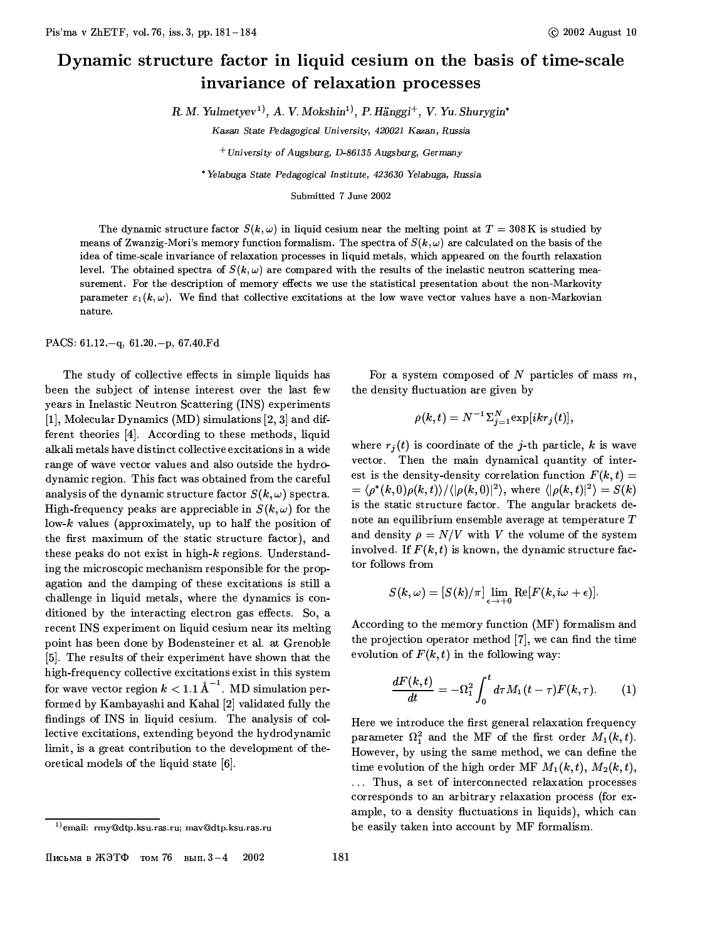## Dynamic structure factor in liquid cesium on the basis of time-scale invariance of relaxation processes

R. M. Yulmetyev<sup>1</sup>), A. V. Mokshin<sup>1</sup>), P. Hänggi<sup>+</sup>, V. Yu. Shurygin<sup>\*</sup>

Kazan State Pedagogical University, 420021 Kazan, Russia

 $+$  University of Augsburg, D-86135 Augsburg, Germany

\* Yelabuga State Pedagogical Institute, 423630 Yelabuga, Russia

Submitted 7 June 2002

The dynamic structure factor  $S(k,\omega)$  in liquid cesium near the melting point at  $T = 308$ K is studied by means of Zwanzig-Mori's memory function formalism. The spectra of  $S(k,\omega)$  are calculated on the basis of the idea of time-scale invariance of relaxation processes in liquid metals, which appeared on the fourth relaxation level. The obtained spectra of  $S(k,\omega)$  are compared with the results of the inelastic neutron scattering measurement. For the description of memory effects we use the statistical presentation about the non-Markovity parameter  $\varepsilon_1(k,\omega)$ . We find that collective excitations at the low wave vector values have a non-Markovian nature.

PACS:  $61.12 - q$ ,  $61.20 - p$ ,  $67.40 \text{ Fd}$ 

The study of collective effects in simple liquids has been the subject of intense interest over the last few years in Inelastic Neutron Scattering (INS) experiments [1], Molecular Dynamics (MD) simulations  $[2, 3]$  and different theories [4]. According to these methods, liquid alkali metals have distinct collective excitations in a wide range of wave vector values and also outside the hydrodynamic region. This fact was obtained from the careful analysis of the dynamic structure factor  $S(k,\omega)$  spectra. High-frequency peaks are appreciable in  $S(k,\omega)$  for the  $\lambda$  low-k values (approximately, up to half the position of the first maximum of the static structure factor), and these peaks do not exist in high-k regions. Understanding the microscopic mechanism responsible for the propagation and the damping of these excitations is still a challenge in liquid metals, where the dynamics is conditioned by the interacting electron gas effects. So, a recent INS experiment on liquid cesium near its melting point has been done by Bodensteiner et al. at Grenoble [5]. The results of their experiment have shown that the high-frequency collective excitations exist in this system for wave vector region  $k < 1.1 \text{ \AA}^{-1}$ . MD simulation performed by Kambayashi and Kahal [2] validated fully the findings of INS in liquid cesium. The analysis of collective excitations, extending beyond the hydrodynamic limit, is a great contribution to the development of theoretical models of the liquid state [6].

For a system composed of  $N$  particles of mass  $m$ , the density fluctuation are given by

$$
\rho(k,t) = N^{-1} \Sigma_{j=1}^N \exp[ikr_j(t)],
$$

where  $r_i(t)$  is coordinate of the *j*-th particle, *k* is wave vector. Then the main dynamical quantity of interest is the density-density correlation function  $F(k, t) =$  $=\langle \rho^*(k,0)\rho(k,t)\rangle/\langle |\rho(k,0)|^2\rangle$ , where  $\langle |\rho(k,t)|^2\rangle = S(k)$ is the static structure factor. The angular brackets denote an equilibrium ensemble average at temperature  $T$ and density  $\rho = N/V$  with V the volume of the system involved. If  $F(k, t)$  is known, the dynamic structure factor follows from

$$
S(k,\omega)=[S(k)/\pi]\lim_{\epsilon\rightarrow+0}\text{Re}[F(k,i\omega+\epsilon)].
$$

According to the memory function (MF) formalism and the projection operator method [7], we can find the time evolution of  $F(k, t)$  in the following way:

$$
\frac{dF(k,t)}{dt}=-\Omega_1^2\int_0^t d\tau M_1(t-\tau)F(k,\tau). \qquad (1)
$$

Here we introduce the first general relaxation frequency parameter  $\Omega_1^2$  and the MF of the first order  $M_1(k,t)$ . However, by using the same method, we can define the time evolution of the high order MF  $M_1(k,t)$ ,  $M_2(k,t)$ ,

... Thus, a set of interconnected relaxation processes corresponds to an arbitrary relaxation process (for example, to a density fluctuations in liquids), which can be easily taken into account by MF formalism.

<sup>&</sup>lt;sup>1)</sup> email: rmy@dtp.ksu.ras.ru; mav@dtp.ksu.ras.ru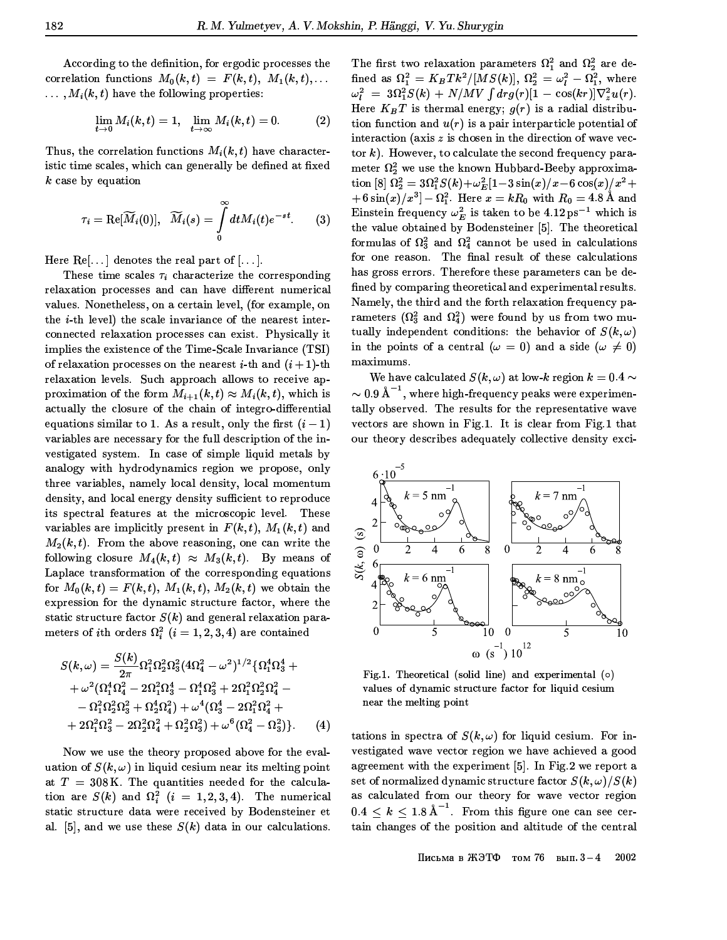According to the definition, for ergodic processes the correlation functions  $M_0(k,t) = F(k,t), M_1(k,t), \ldots$  $\ldots$ ,  $M_i(k, t)$  have the following properties:

$$
\lim_{t\to 0} M_i(k,t)=1,\quad \lim_{t\to \infty} M_i(k,t)=0. \qquad \qquad (2)
$$

Thus, the correlation functions  $M_i(k,t)$  have characteristic time scales, which can generally be defined at fixed  $k$  case by equation

$$
\tau_i = \text{Re}[\widetilde{M}_i(0)], \quad \widetilde{M}_i(s) = \int\limits_0^\infty dt M_i(t) e^{-st}.\qquad(3)
$$

Here  $\text{Re}[\ldots]$  denotes the real part of  $[\ldots]$ .

These time scales  $\tau_i$  characterize the corresponding relaxation processes and can have different numerical values. Nonetheless, on a certain level, (for example, on the *i*-th level) the scale invariance of the nearest interconnected relaxation processes can exist. Physically it implies the existence of the Time-Scale Invariance (TSI) of relaxation processes on the nearest *i*-th and  $(i + 1)$ -th relaxation levels. Such approach allows to receive approximation of the form  $M_{i+1}(k,t) \approx M_i(k,t)$ , which is actually the closure of the chain of integro-differential equations similar to 1. As a result, only the first  $(i - 1)$ variables are necessary for the full description of the investigated system. In case of simple liquid metals by analogy with hydrodynamics region we propose, only three variables, namely local density, local momentum density, and local energy density sufficient to reproduce its spectral features at the microscopic level. These variables are implicitly present in  $F(k, t)$ ,  $M_1(k, t)$  and  $M_2(k,t)$ . From the above reasoning, one can write the following closure  $M_4(k,t) \approx M_3(k,t)$ . By means of Laplace transformation of the corresponding equations for  $M_0(k,t) = F(k,t), M_1(k,t), M_2(k,t)$  we obtain the expression for the dynamic structure factor, where the static structure factor  $S(k)$  and general relaxation parameters of *i*th orders  $\Omega_i^2$   $(i = 1, 2, 3, 4)$  are contained

$$
S(k,\omega) = \frac{S(k)}{2\pi} \Omega_1^2 \Omega_2^2 \Omega_3^2 (4\Omega_4^2 - \omega^2)^{1/2} {\Omega_1^4 \Omega_3^4 ++ \omega^2 (\Omega_1^4 \Omega_4^2 - 2\Omega_1^2 \Omega_3^4 - \Omega_1^4 \Omega_3^2 + 2\Omega_1^2 \Omega_2^2 \Omega_4^2 -- \Omega_1^2 \Omega_2^2 \Omega_3^2 + \Omega_2^4 \Omega_4^2) + \omega^4 (\Omega_3^4 - 2\Omega_1^2 \Omega_4^2 ++ 2\Omega_1^2 \Omega_3^2 - 2\Omega_2^2 \Omega_4^2 + \Omega_2^2 \Omega_3^2) + \omega^6 (\Omega_4^2 - \Omega_3^2) }.
$$
 (4)

Now we use the theory proposed above for the evaluation of  $S(k,\omega)$  in liquid cesium near its melting point at  $T = 308$  K. The quantities needed for the calculation are  $S(k)$  and  $\Omega_i^2$   $(i = 1, 2, 3, 4)$ . The numerical static structure data were received by Bodensteiner et al. [5], and we use these  $S(k)$  data in our calculations.

The first two relaxation parameters  $\Omega_1^2$  and  $\Omega_2^2$  are defined as  $\Omega_1^2 = K_B T k^2 / [M S(k)]$ ,  $\Omega_2^2 = \omega_l^2 - \Omega_1^2$ , where  $\omega_l^2 = 3\Omega_1^2 S(k) + N/MV \int dr g(r) [1 - \cos(kr)] \nabla_z^2 u(r)$ . Here  $K_B T$  is thermal energy;  $g(r)$  is a radial distribution function and  $u(r)$  is a pair interparticle potential of interaction (axis  $z$  is chosen in the direction of wave vector k). However, to calculate the second frequency parameter  $\Omega_2^2$  we use the known Hubbard-Beeby approximation [8]  $\Omega_2^2 = 3\Omega_1^2 S(k) + \omega_E^2 [1 - 3\sin(x)/x - 6\cos(x)/x^2 +$  $(1+6\sin(x)/x^3]-\Omega_1^2$ . Here  $x=kR_0$  with  $R_0=4.8$  Å and Einstein frequency  $\omega_E^2$  is taken to be 4.12 ps<sup>-1</sup> which is the value obtained by Bodensteiner [5]. The theoretical formulas of  $\Omega_3^2$  and  $\Omega_4^2$  cannot be used in calculations for one reason. The final result of these calculations has gross errors. Therefore these parameters can be defined by comparing theoretical and experimental results. Namely, the third and the forth relaxation frequency parameters ( $\Omega_3^2$  and  $\Omega_4^2$ ) were found by us from two mutually independent conditions: the behavior of  $S(k, \omega)$ in the points of a central  $(\omega = 0)$  and a side  $(\omega \neq 0)$ maximums.

We have calculated  $S(k,\omega)$  at low-k region  $k=0.4 \sim$  $\sim 0.9$  Å<sup>-1</sup>, where high-frequency peaks were experimentally observed. The results for the representative wave vectors are shown in Fig.1. It is clear from Fig.1 that our theory describes adequately collective density exci-



Fig.1. Theoretical (solid line) and experimental  $(o)$ values of dynamic structure factor for liquid cesium near the melting point

tations in spectra of  $S(k,\omega)$  for liquid cesium. For investigated wave vector region we have achieved a good agreement with the experiment [5]. In Fig.2 we report a set of normalized dynamic structure factor  $S(k,\omega)/S(k)$ as calculated from our theory for wave vector region  $0.4 \leq k \leq 1.8 \text{ Å}^{-1}$ . From this figure one can see certain changes of the position and altitude of the central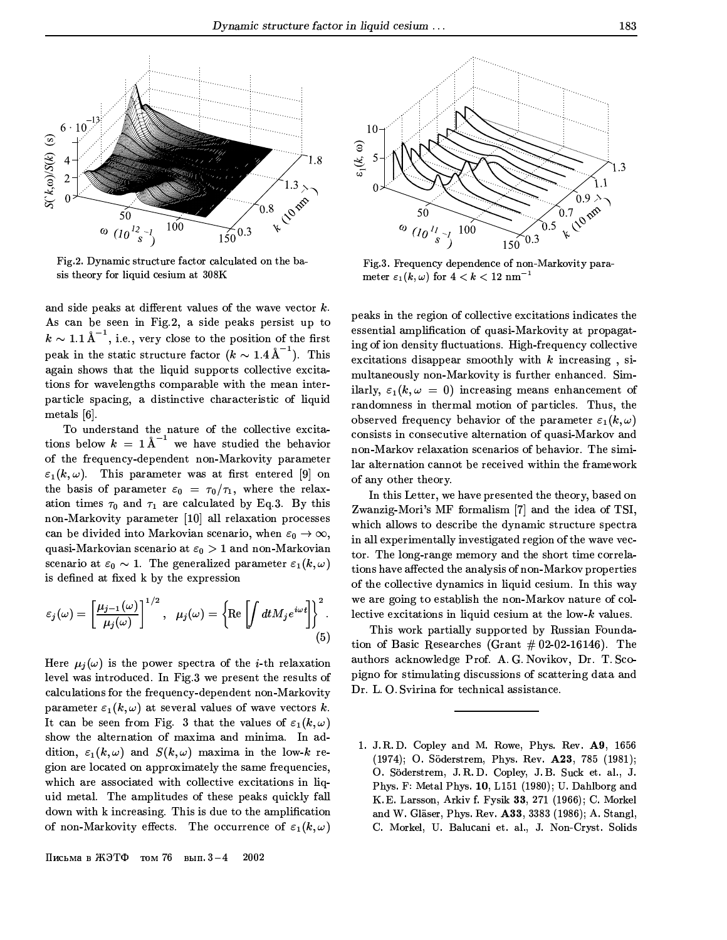

Fig.2. Dynamic structure factor calculated on the basis theory for liquid cesium at 308K

and side peaks at different values of the wave vector  $k$ . As can be seen in Fig.2, a side peaks persist up to  $k \sim 1.1 \text{ Å}^{-1}$ , i.e., very close to the position of the first peak in the static structure factor  $(k \sim 1.4 \text{ Å}^{-1})$ . This again shows that the liquid supports collective excitations for wavelengths comparable with the mean interparticle spacing, a distinctive characteristic of liquid metals  $[6]$ .

To understand the nature of the collective excitations below  $k = 1 \text{ Å}^{-1}$  we have studied the behavior of the frequency-dependent non-Markovity parameter  $\varepsilon_1(k,\omega)$ . This parameter was at first entered [9] on the basis of parameter  $\varepsilon_0 = \tau_0/\tau_1$ , where the relaxation times  $\tau_0$  and  $\tau_1$  are calculated by Eq.3. By this non-Markovity parameter [10] all relaxation processes can be divided into Markovian scenario, when  $\varepsilon_0 \to \infty$ , quasi-Markovian scenario at  $\varepsilon_0 > 1$  and non-Markovian scenario at  $\varepsilon_0 \sim 1$ . The generalized parameter  $\varepsilon_1(k,\omega)$ is defined at fixed k by the expression

$$
\varepsilon_j(\omega) = \left[\frac{\mu_{j-1}(\omega)}{\mu_j(\omega)}\right]^{1/2}, \quad \mu_j(\omega) = \left\{\text{Re}\left[\int dt M_j e^{i\omega t}\right]\right\}^2.
$$
\n(5)

Here  $\mu_i(\omega)$  is the power spectra of the *i*-th relaxation level was introduced. In Fig.3 we present the results of calculations for the frequency-dependent non-Markovity parameter  $\varepsilon_1(k,\omega)$  at several values of wave vectors k. It can be seen from Fig. 3 that the values of  $\varepsilon_1(k,\omega)$ show the alternation of maxima and minima. In addition,  $\varepsilon_1(k,\omega)$  and  $S(k,\omega)$  maxima in the low-k region are located on approximately the same frequencies. which are associated with collective excitations in liquid metal. The amplitudes of these peaks quickly fall down with k increasing. This is due to the amplification of non-Markovity effects. The occurrence of  $\varepsilon_1(k,\omega)$ 



Fig.3. Frequency dependence of non-Markovity parameter  $\varepsilon_1(k,\omega)$  for  $4 < k < 12$  nm<sup>-1</sup>

peaks in the region of collective excitations indicates the essential amplification of quasi-Markovity at propagating of ion density fluctuations. High-frequency collective excitations disappear smoothly with  $k$  increasing, simultaneously non-Markovity is further enhanced. Similarly,  $\varepsilon_1(k,\omega = 0)$  increasing means enhancement of randomness in thermal motion of particles. Thus, the observed frequency behavior of the parameter  $\varepsilon_1(k,\omega)$ consists in consecutive alternation of quasi-Markov and non-Markov relaxation scenarios of behavior. The similar alternation cannot be received within the framework of any other theory.

In this Letter, we have presented the theory, based on Zwanzig-Mori's MF formalism [7] and the idea of TSI, which allows to describe the dynamic structure spectra in all experimentally investigated region of the wave vector. The long-range memory and the short time correlations have affected the analysis of non-Markov properties of the collective dynamics in liquid cesium. In this way we are going to establish the non-Markov nature of collective excitations in liquid cesium at the low- $k$  values.

This work partially supported by Russian Foundation of Basic Researches (Grant  $\#02-02-16146$ ). The authors acknowledge Prof. A.G. Novikov, Dr. T. Scopigno for stimulating discussions of scattering data and Dr. L.O. Svirina for technical assistance.

<sup>1.</sup> J.R.D. Copley and M. Rowe, Phys. Rev. A9, 1656 (1974); O. Söderstrem, Phys. Rev. A23, 785 (1981); O. Söderstrem, J.R.D. Copley, J.B. Suck et. al., J. Phys. F: Metal Phys. 10, L151 (1980); U. Dahlborg and K. E. Larsson, Arkiv f. Fysik 33, 271 (1966); C. Morkel and W. Gläser, Phys. Rev. A33, 3383 (1986); A. Stangl, C. Morkel, U. Balucani et. al., J. Non-Cryst. Solids